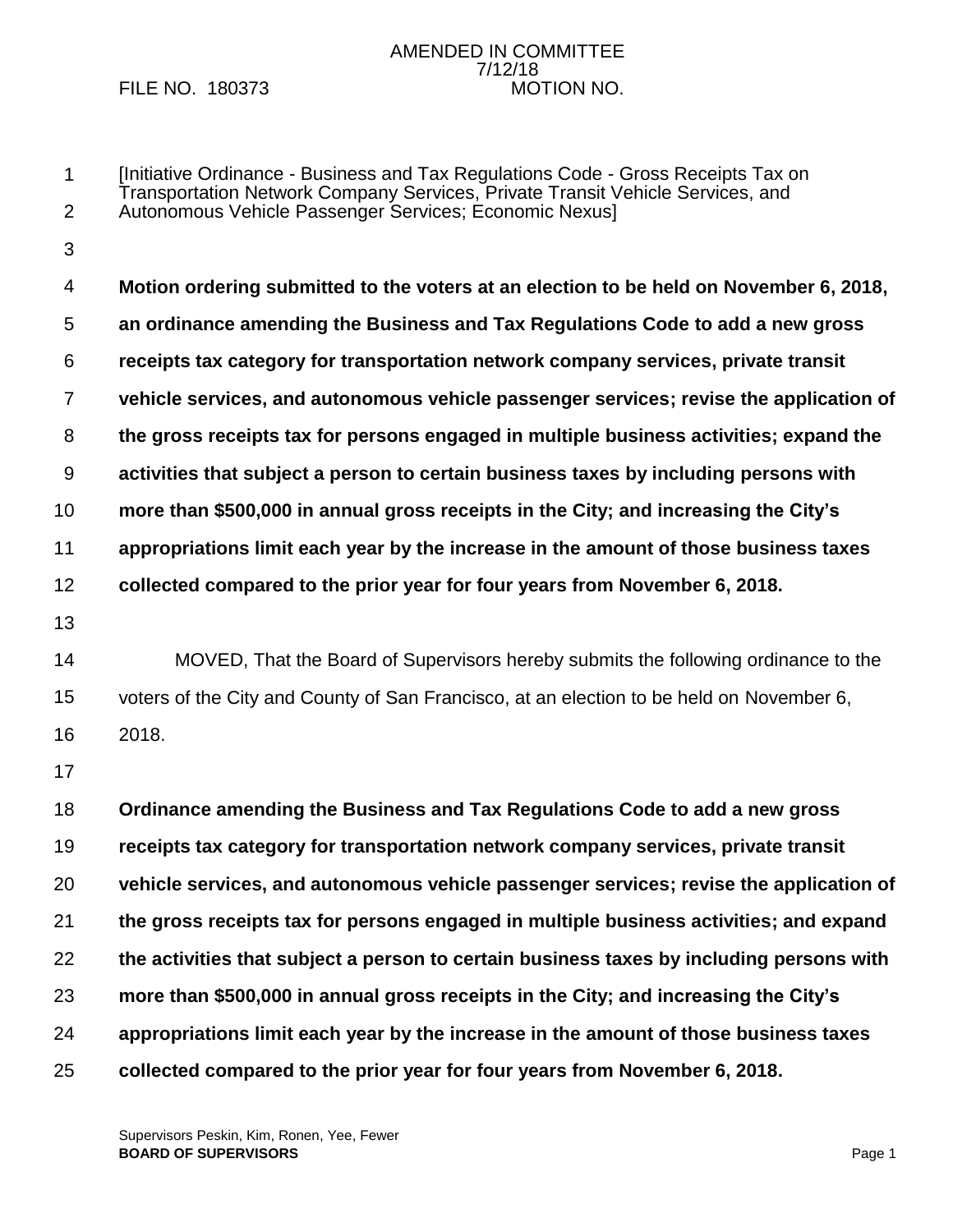FILE NO. 180373

# AMENDED IN COMMITTEE 7/12/18

1 2 3 4 [Initiative Ordinance - Business and Tax Regulations Code - Gross Receipts Tax on Transportation Network Company Services, Private Transit Vehicle Services, and Autonomous Vehicle Passenger Services; Economic Nexus] **Motion ordering submitted to the voters at an election to be held on November 6, 2018,**

5 6 7 8 9 10 11 12 13 14 15 16 17 18 19 20 21 22 23 **an ordinance amending the Business and Tax Regulations Code to add a new gross receipts tax category for transportation network company services, private transit vehicle services, and autonomous vehicle passenger services; revise the application of the gross receipts tax for persons engaged in multiple business activities; expand the activities that subject a person to certain business taxes by including persons with more than \$500,000 in annual gross receipts in the City; and increasing the City's appropriations limit each year by the increase in the amount of those business taxes collected compared to the prior year for four years from November 6, 2018.** MOVED, That the Board of Supervisors hereby submits the following ordinance to the voters of the City and County of San Francisco, at an election to be held on November 6, 2018. **Ordinance amending the Business and Tax Regulations Code to add a new gross receipts tax category for transportation network company services, private transit vehicle services, and autonomous vehicle passenger services; revise the application of the gross receipts tax for persons engaged in multiple business activities; and expand the activities that subject a person to certain business taxes by including persons with more than \$500,000 in annual gross receipts in the City; and increasing the City's** 

- 24 **appropriations limit each year by the increase in the amount of those business taxes**
- 25 **collected compared to the prior year for four years from November 6, 2018.**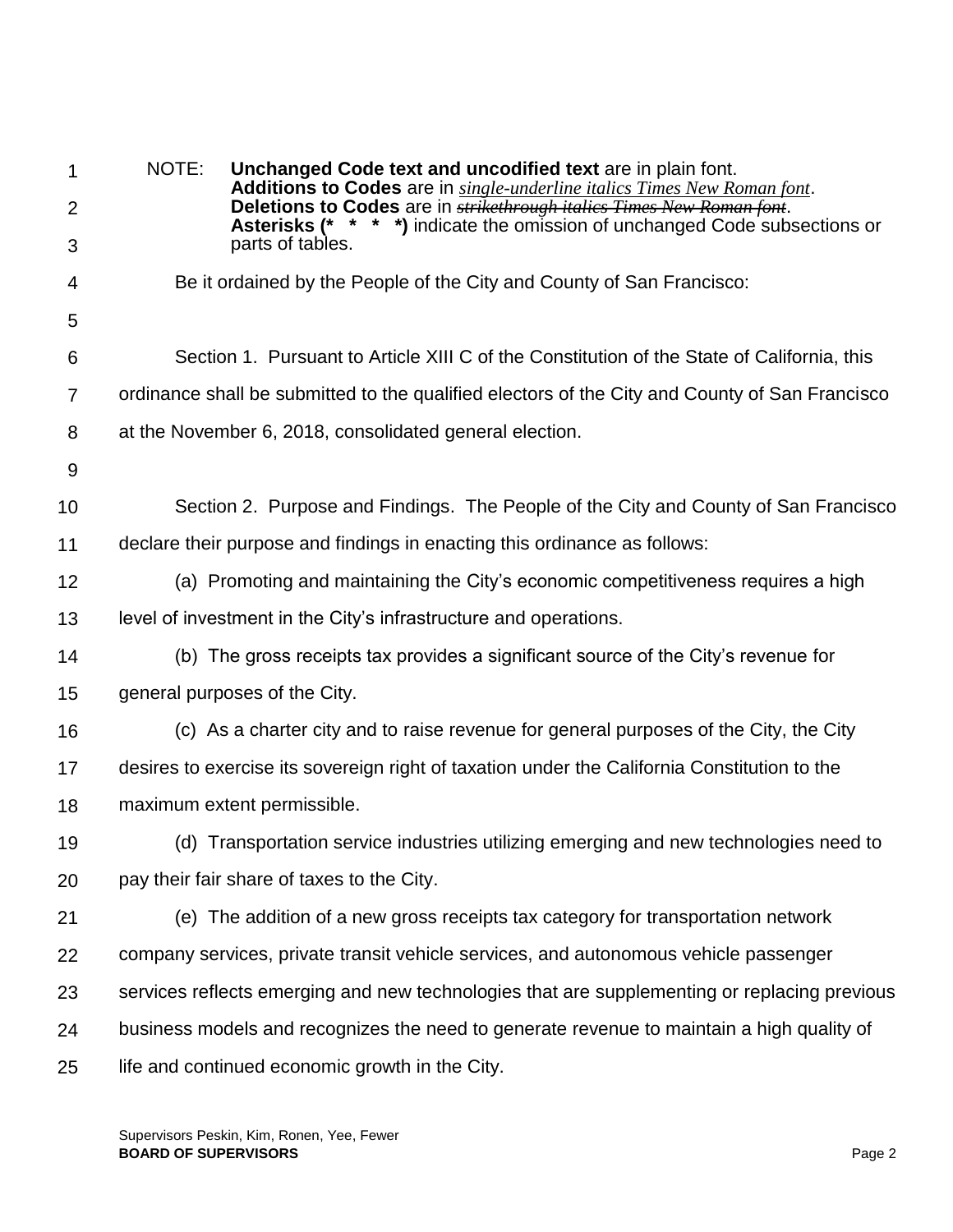| 1              | NOTE: | Unchanged Code text and uncodified text are in plain font.<br>Additions to Codes are in single-underline italics Times New Roman font.                             |
|----------------|-------|--------------------------------------------------------------------------------------------------------------------------------------------------------------------|
| $\overline{2}$ |       | Deletions to Codes are in <b>strikethrough italics Times New Roman font</b> .<br><b>Asterisks (* * * *)</b> indicate the omission of unchanged Code subsections or |
| 3              |       | parts of tables.                                                                                                                                                   |
| 4              |       | Be it ordained by the People of the City and County of San Francisco:                                                                                              |
| 5              |       |                                                                                                                                                                    |
| 6              |       | Section 1. Pursuant to Article XIII C of the Constitution of the State of California, this                                                                         |
| $\overline{7}$ |       | ordinance shall be submitted to the qualified electors of the City and County of San Francisco                                                                     |
| 8              |       | at the November 6, 2018, consolidated general election.                                                                                                            |
| 9              |       |                                                                                                                                                                    |
| 10             |       | Section 2. Purpose and Findings. The People of the City and County of San Francisco                                                                                |
| 11             |       | declare their purpose and findings in enacting this ordinance as follows:                                                                                          |
| 12             |       | (a) Promoting and maintaining the City's economic competitiveness requires a high                                                                                  |
| 13             |       | level of investment in the City's infrastructure and operations.                                                                                                   |
| 14             |       | (b) The gross receipts tax provides a significant source of the City's revenue for                                                                                 |
| 15             |       | general purposes of the City.                                                                                                                                      |
| 16             |       | (c) As a charter city and to raise revenue for general purposes of the City, the City                                                                              |
| 17             |       | desires to exercise its sovereign right of taxation under the California Constitution to the                                                                       |
| 18             |       | maximum extent permissible.                                                                                                                                        |
| 19             |       | (d) Transportation service industries utilizing emerging and new technologies need to                                                                              |
| 20             |       | pay their fair share of taxes to the City.                                                                                                                         |
| 21             |       | (e) The addition of a new gross receipts tax category for transportation network                                                                                   |
| 22             |       | company services, private transit vehicle services, and autonomous vehicle passenger                                                                               |
| 23             |       | services reflects emerging and new technologies that are supplementing or replacing previous                                                                       |
| 24             |       | business models and recognizes the need to generate revenue to maintain a high quality of                                                                          |
| 25             |       | life and continued economic growth in the City.                                                                                                                    |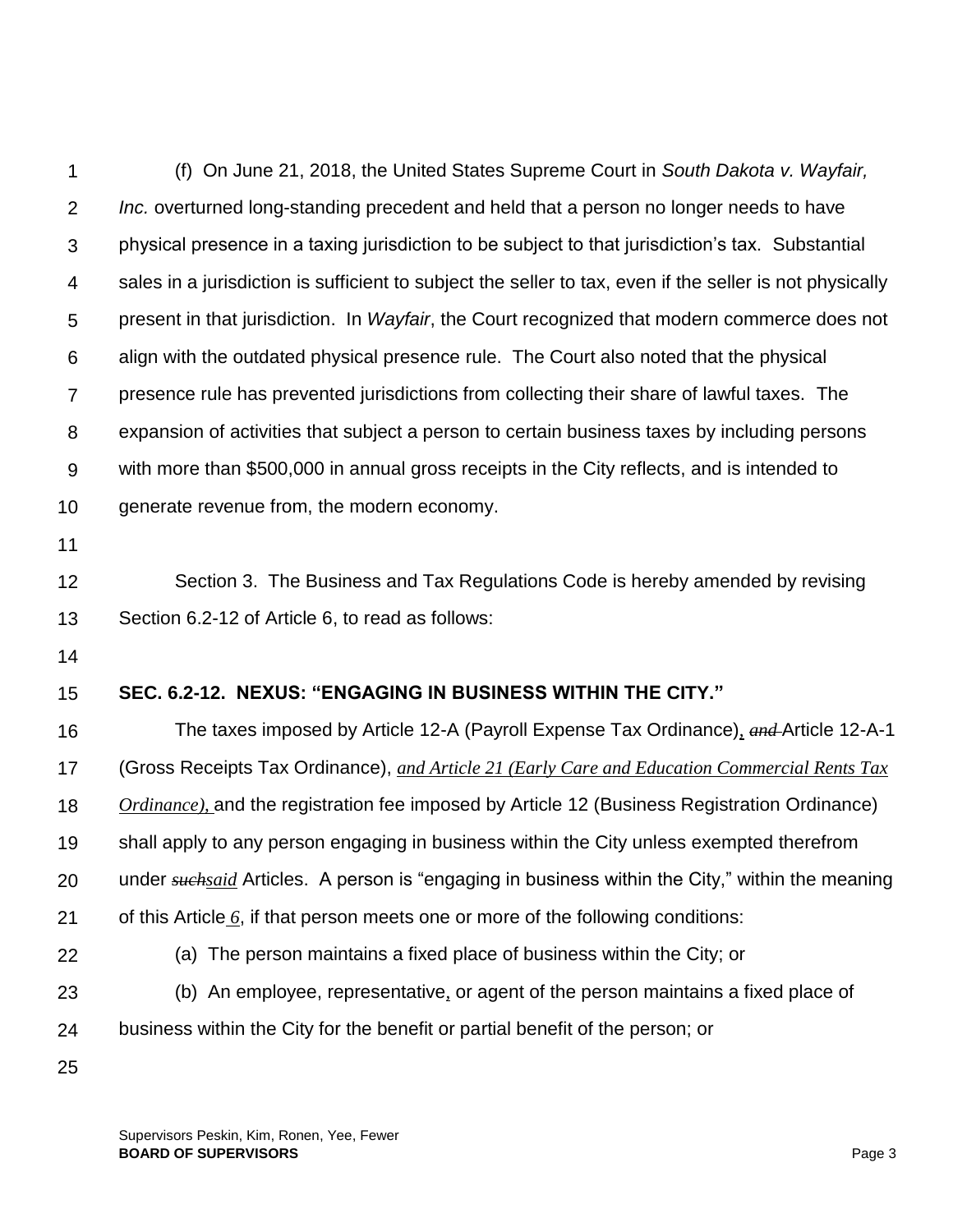| 1              | (f) On June 21, 2018, the United States Supreme Court in South Dakota v. Wayfair,                        |
|----------------|----------------------------------------------------------------------------------------------------------|
| $\overline{2}$ | Inc. overturned long-standing precedent and held that a person no longer needs to have                   |
| 3              | physical presence in a taxing jurisdiction to be subject to that jurisdiction's tax. Substantial         |
| 4              | sales in a jurisdiction is sufficient to subject the seller to tax, even if the seller is not physically |
| 5              | present in that jurisdiction. In Wayfair, the Court recognized that modern commerce does not             |
| 6              | align with the outdated physical presence rule. The Court also noted that the physical                   |
| 7              | presence rule has prevented jurisdictions from collecting their share of lawful taxes. The               |
| 8              | expansion of activities that subject a person to certain business taxes by including persons             |
| $9$            | with more than \$500,000 in annual gross receipts in the City reflects, and is intended to               |
| 10             | generate revenue from, the modern economy.                                                               |
| 11             |                                                                                                          |
| 12             | Section 3. The Business and Tax Regulations Code is hereby amended by revising                           |
| 13             | Section 6.2-12 of Article 6, to read as follows:                                                         |
| 14             |                                                                                                          |
| 15             | SEC. 6.2-12. NEXUS: "ENGAGING IN BUSINESS WITHIN THE CITY."                                              |
| 16             | The taxes imposed by Article 12-A (Payroll Expense Tax Ordinance), and Article 12-A-1                    |
| 17             | (Gross Receipts Tax Ordinance), and Article 21 (Early Care and Education Commercial Rents Tax            |
| 18             | $Ordinance$ ), and the registration fee imposed by Article 12 (Business Registration Ordinance)          |
| 19             | shall apply to any person engaging in business within the City unless exempted therefrom                 |
| 20             | under suchsaid Articles. A person is "engaging in business within the City," within the meaning          |
| 21             | of this Article $6$ , if that person meets one or more of the following conditions:                      |
| 22             | (a) The person maintains a fixed place of business within the City; or                                   |
| 23             | (b) An employee, representative, or agent of the person maintains a fixed place of                       |
| 24             | business within the City for the benefit or partial benefit of the person; or                            |
| 25             |                                                                                                          |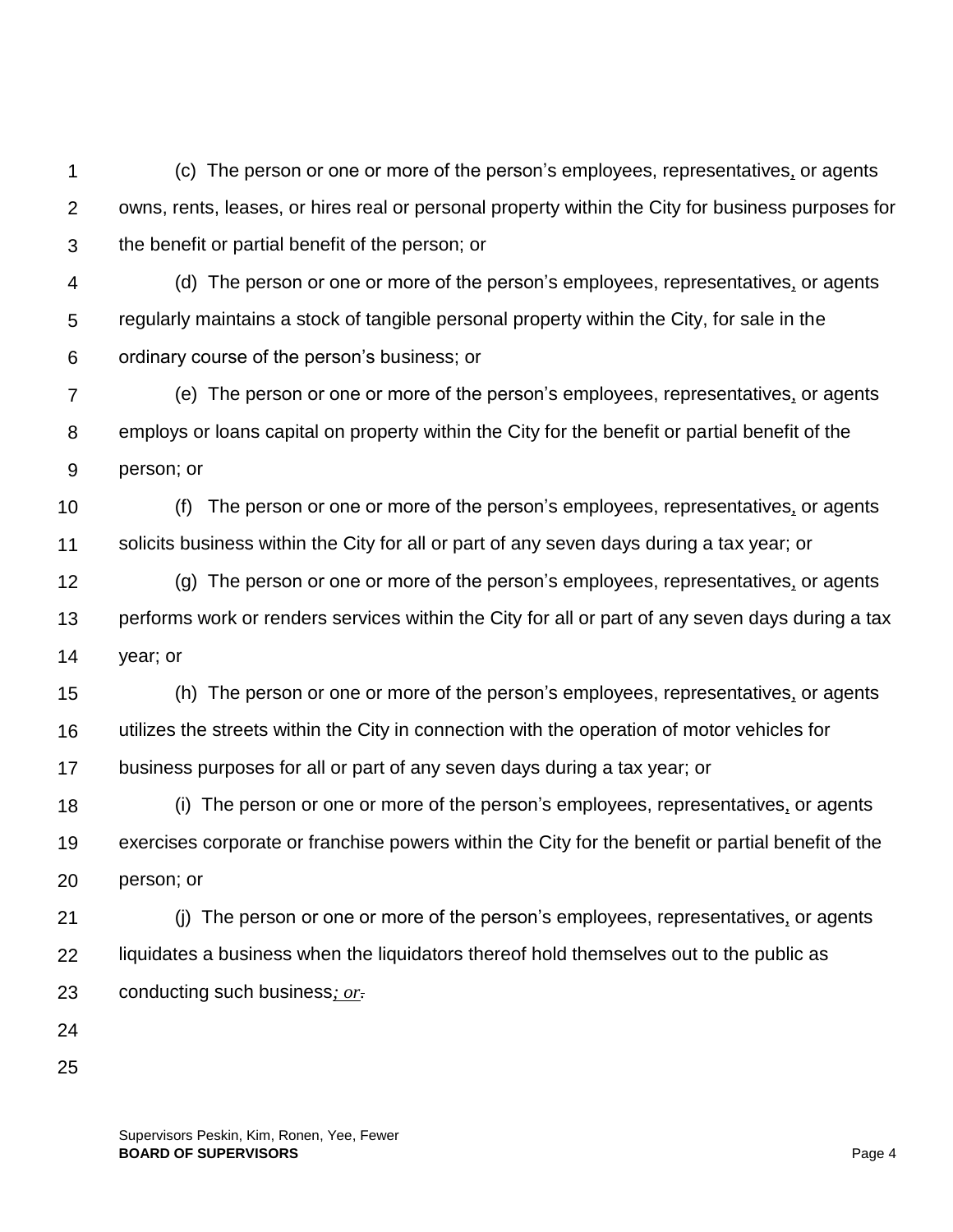1 2 3 (c) The person or one or more of the person's employees, representatives*,* or agents owns, rents, leases, or hires real or personal property within the City for business purposes for the benefit or partial benefit of the person; or

4 5 6 (d) The person or one or more of the person's employees, representatives*,* or agents regularly maintains a stock of tangible personal property within the City, for sale in the ordinary course of the person's business; or

7 8 9 (e) The person or one or more of the person's employees, representatives*,* or agents employs or loans capital on property within the City for the benefit or partial benefit of the person; or

10 11 (f) The person or one or more of the person's employees, representatives*,* or agents solicits business within the City for all or part of any seven days during a tax year; or

12 13 14 (g) The person or one or more of the person's employees, representatives*,* or agents performs work or renders services within the City for all or part of any seven days during a tax year; or

15 16 17 (h) The person or one or more of the person's employees, representatives*,* or agents utilizes the streets within the City in connection with the operation of motor vehicles for business purposes for all or part of any seven days during a tax year; or

18 19 20 (i) The person or one or more of the person's employees, representatives*,* or agents exercises corporate or franchise powers within the City for the benefit or partial benefit of the person; or

21 22 23 (j) The person or one or more of the person's employees, representatives*,* or agents liquidates a business when the liquidators thereof hold themselves out to the public as conducting such business*; or.*

- 24
- 25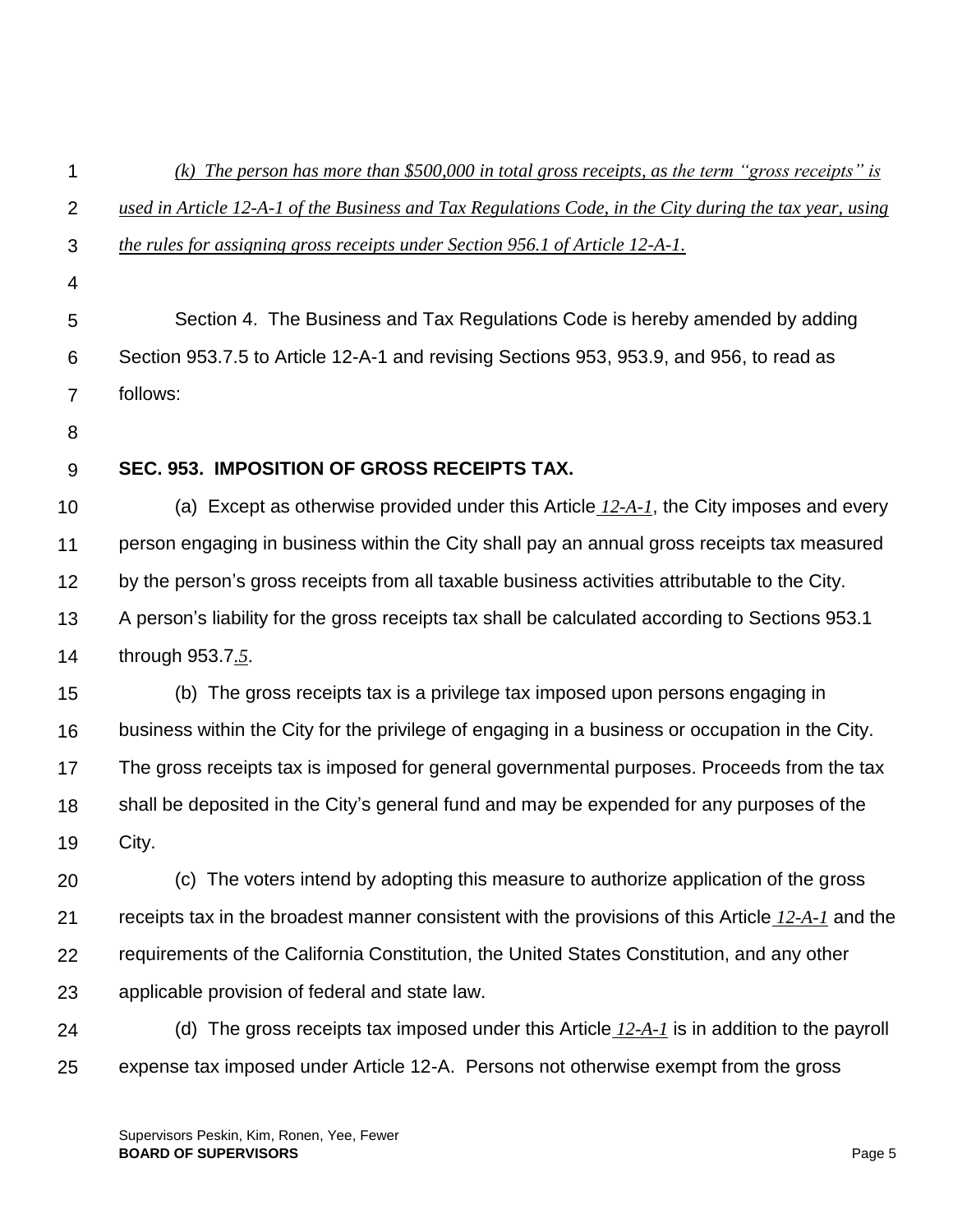| 1              | (k) The person has more than \$500,000 in total gross receipts, as the term "gross receipts" is         |
|----------------|---------------------------------------------------------------------------------------------------------|
| $\overline{2}$ | used in Article 12-A-1 of the Business and Tax Regulations Code, in the City during the tax year, using |
| 3              | the rules for assigning gross receipts under Section 956.1 of Article 12-A-1.                           |
| 4              |                                                                                                         |
| 5              | Section 4. The Business and Tax Regulations Code is hereby amended by adding                            |
| 6              | Section 953.7.5 to Article 12-A-1 and revising Sections 953, 953.9, and 956, to read as                 |
| $\overline{7}$ | follows:                                                                                                |
| 8              |                                                                                                         |
| 9              | SEC. 953. IMPOSITION OF GROSS RECEIPTS TAX.                                                             |
| 10             | (a) Except as otherwise provided under this Article $12-A-1$ , the City imposes and every               |
| 11             | person engaging in business within the City shall pay an annual gross receipts tax measured             |
| 12             | by the person's gross receipts from all taxable business activities attributable to the City.           |
| 13             | A person's liability for the gross receipts tax shall be calculated according to Sections 953.1         |
| 14             | through 953.7.5.                                                                                        |
| 15             | (b) The gross receipts tax is a privilege tax imposed upon persons engaging in                          |
| 16             | business within the City for the privilege of engaging in a business or occupation in the City.         |
| 17             | The gross receipts tax is imposed for general governmental purposes. Proceeds from the tax              |
| 18             | shall be deposited in the City's general fund and may be expended for any purposes of the               |
| 19             | City.                                                                                                   |
| 20             | (c) The voters intend by adopting this measure to authorize application of the gross                    |
| 21             | receipts tax in the broadest manner consistent with the provisions of this Article 12-A-1 and the       |
| 22             | requirements of the California Constitution, the United States Constitution, and any other              |
| 23             | applicable provision of federal and state law.                                                          |
| 24             | (d) The gross receipts tax imposed under this Article $12-A-1$ is in addition to the payroll            |
| 25             | expense tax imposed under Article 12-A. Persons not otherwise exempt from the gross                     |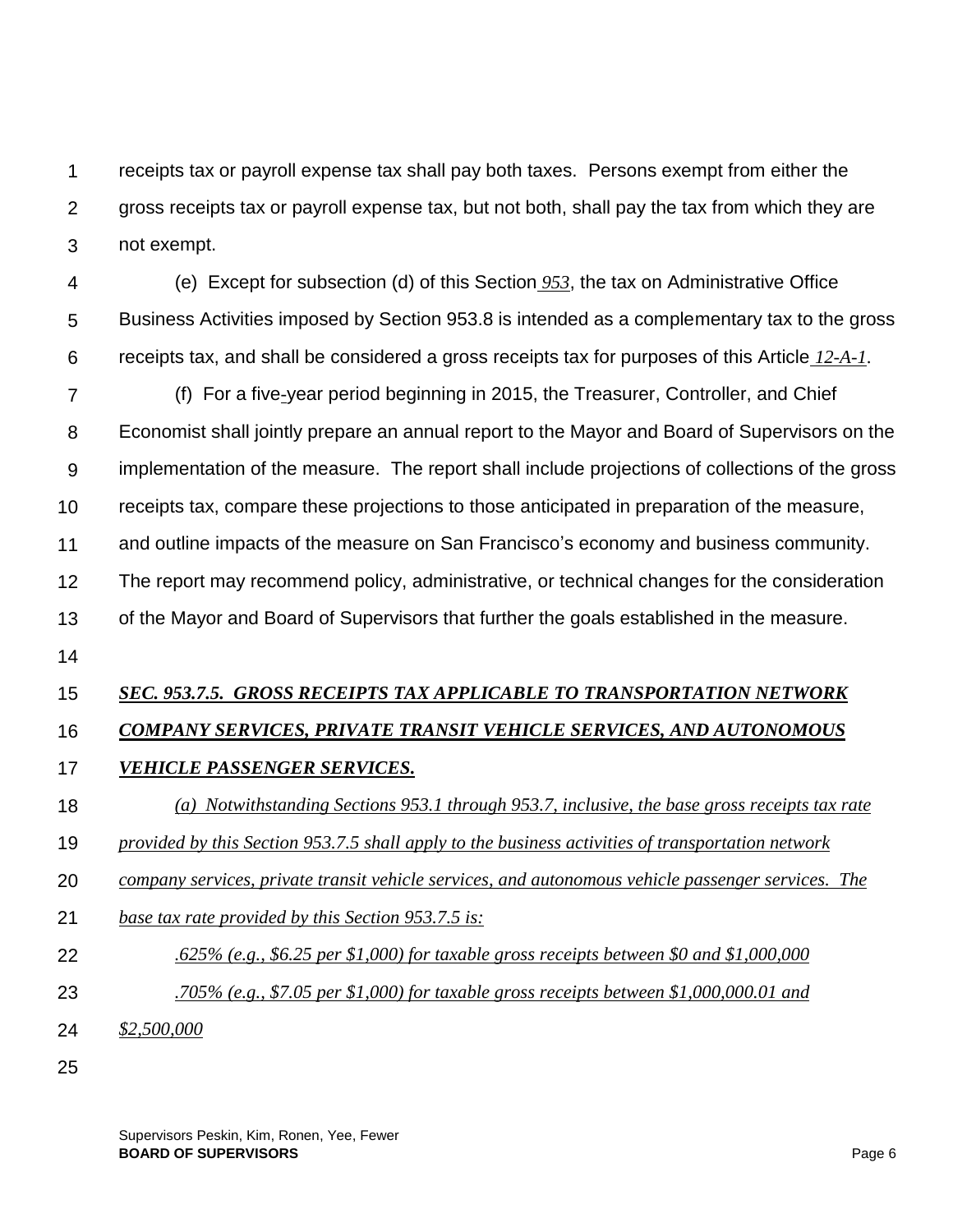1  $\mathcal{P}$ 3 receipts tax or payroll expense tax shall pay both taxes. Persons exempt from either the gross receipts tax or payroll expense tax, but not both, shall pay the tax from which they are not exempt.

4 5 6 (e) Except for subsection (d) of this Section *953*, the tax on Administrative Office Business Activities imposed by Section 953.8 is intended as a complementary tax to the gross receipts tax, and shall be considered a gross receipts tax for purposes of this Article *12-A-1*.

7 8 9 10 (f) For a five*-*year period beginning in 2015, the Treasurer, Controller, and Chief Economist shall jointly prepare an annual report to the Mayor and Board of Supervisors on the implementation of the measure. The report shall include projections of collections of the gross receipts tax, compare these projections to those anticipated in preparation of the measure,

11 and outline impacts of the measure on San Francisco's economy and business community.

12 The report may recommend policy, administrative, or technical changes for the consideration

13 of the Mayor and Board of Supervisors that further the goals established in the measure.

14

## 15 *SEC. 953.7.5. GROSS RECEIPTS TAX APPLICABLE TO TRANSPORTATION NETWORK*

## 16 *COMPANY SERVICES, PRIVATE TRANSIT VEHICLE SERVICES, AND AUTONOMOUS*

## 17 *VEHICLE PASSENGER SERVICES.*

## 18 *(a) Notwithstanding Sections 953.1 through 953.7, inclusive, the base gross receipts tax rate*

- 19 *provided by this Section 953.7.5 shall apply to the business activities of transportation network*
- 20 *company services, private transit vehicle services, and autonomous vehicle passenger services. The*
- 21 *base tax rate provided by this Section 953.7.5 is:*
- 22 *.625% (e.g., \$6.25 per \$1,000) for taxable gross receipts between \$0 and \$1,000,000*
- 23 *.705% (e.g., \$7.05 per \$1,000) for taxable gross receipts between \$1,000,000.01 and*
- 24 *\$2,500,000*
- 25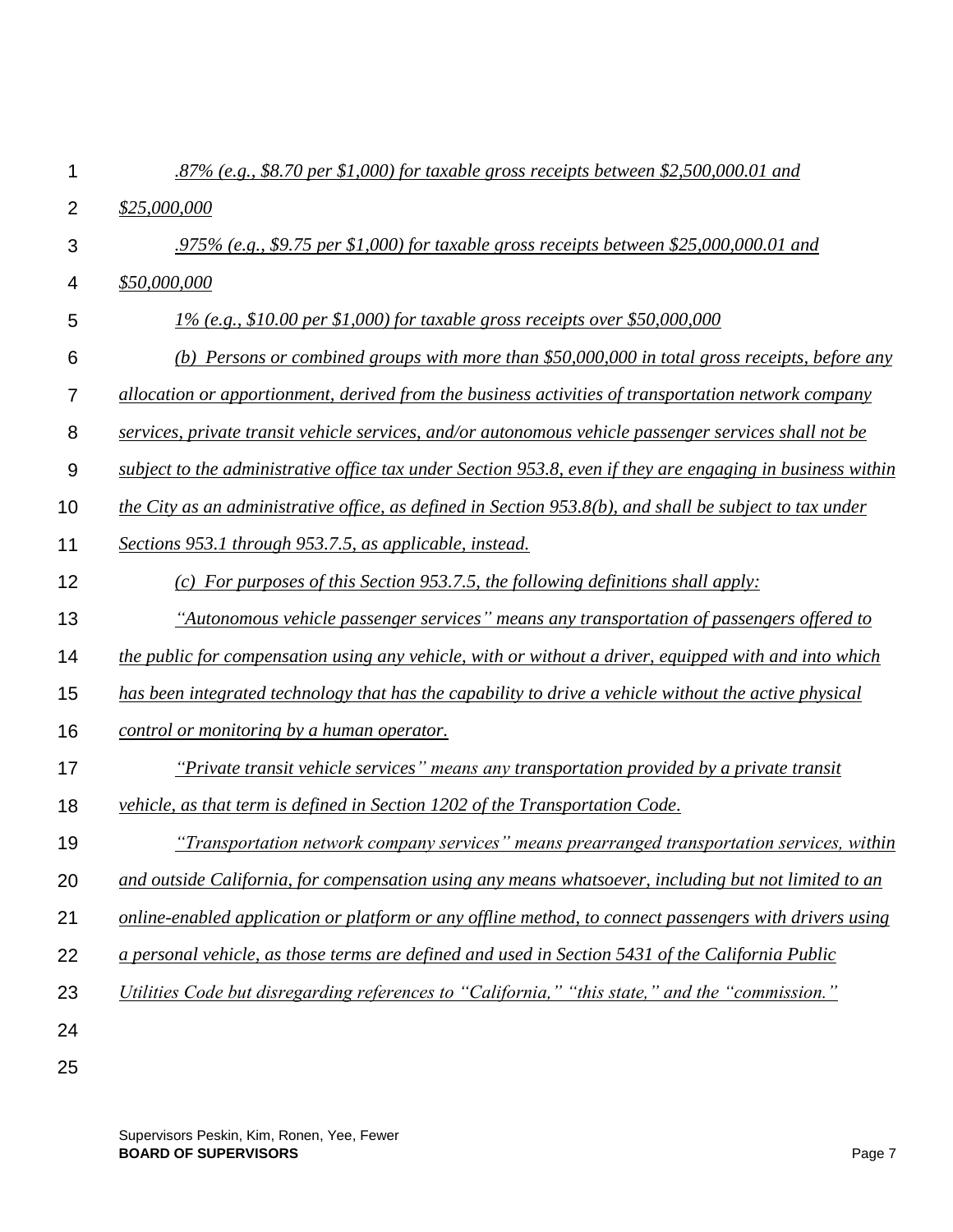| 1              | .87% (e.g., \$8.70 per \$1,000) for taxable gross receipts between \$2,500,000.01 and                      |
|----------------|------------------------------------------------------------------------------------------------------------|
| $\overline{2}$ | \$25,000,000                                                                                               |
| 3              | .975% (e.g., \$9.75 per \$1,000) for taxable gross receipts between \$25,000,000.01 and                    |
| 4              | \$50,000,000                                                                                               |
| 5              | $1\%$ (e.g., \$10.00 per \$1,000) for taxable gross receipts over \$50,000,000                             |
| 6              | (b) Persons or combined groups with more than \$50,000,000 in total gross receipts, before any             |
| 7              | allocation or apportionment, derived from the business activities of transportation network company        |
| 8              | services, private transit vehicle services, and/or autonomous vehicle passenger services shall not be      |
| 9              | subject to the administrative office tax under Section 953.8, even if they are engaging in business within |
| 10             | the City as an administrative office, as defined in Section 953.8(b), and shall be subject to tax under    |
| 11             | Sections 953.1 through 953.7.5, as applicable, instead.                                                    |
| 12             | (c) For purposes of this Section 953.7.5, the following definitions shall apply:                           |
| 13             | "Autonomous vehicle passenger services" means any transportation of passengers offered to                  |
| 14             | the public for compensation using any vehicle, with or without a driver, equipped with and into which      |
| 15             | has been integrated technology that has the capability to drive a vehicle without the active physical      |
| 16             | control or monitoring by a human operator.                                                                 |
| 17             | "Private transit vehicle services" means any transportation provided by a private transit                  |
| 18             | vehicle, as that term is defined in Section 1202 of the Transportation Code.                               |
| 19             | "Transportation network company services" means prearranged transportation services, within                |
| 20             | and outside California, for compensation using any means whatsoever, including but not limited to an       |
| 21             | online-enabled application or platform or any offline method, to connect passengers with drivers using     |
| 22             | a personal vehicle, as those terms are defined and used in Section 5431 of the California Public           |
| 23             | Utilities Code but disregarding references to "California," "this state," and the "commission."            |
| 24             |                                                                                                            |
| 25             |                                                                                                            |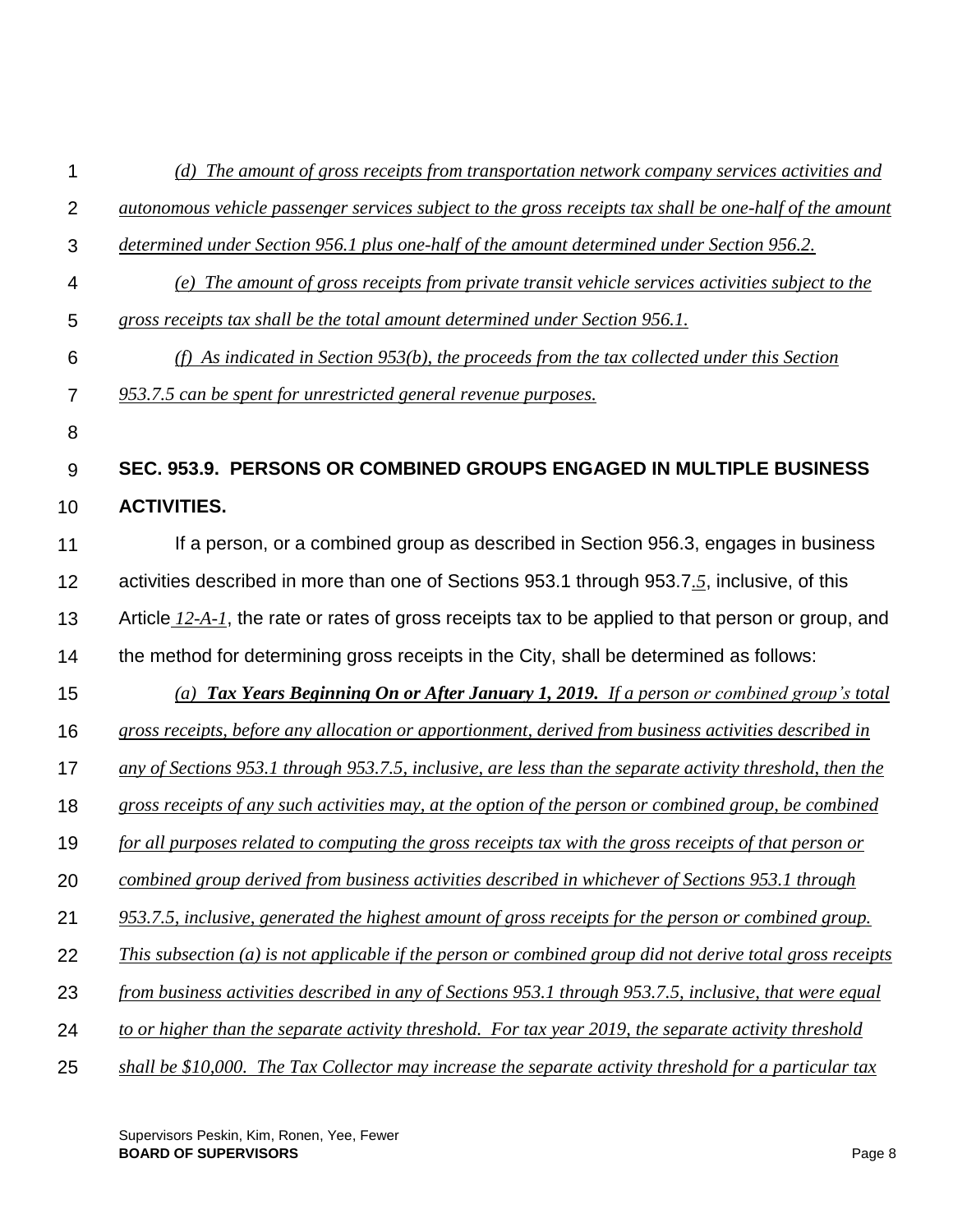| 1              | (d) The amount of gross receipts from transportation network company services activities and              |
|----------------|-----------------------------------------------------------------------------------------------------------|
| $\overline{2}$ | autonomous vehicle passenger services subject to the gross receipts tax shall be one-half of the amount   |
| 3              | <u>determined under Section 956.1 plus one-half of the amount determined under Section 956.2.</u>         |
| 4              | (e) The amount of gross receipts from private transit vehicle services activities subject to the          |
| 5              | gross receipts tax shall be the total amount determined under Section 956.1.                              |
| 6              | (f) As indicated in Section 953(b), the proceeds from the tax collected under this Section                |
| 7              | 953.7.5 can be spent for unrestricted general revenue purposes.                                           |
| 8              |                                                                                                           |
| 9              | SEC. 953.9. PERSONS OR COMBINED GROUPS ENGAGED IN MULTIPLE BUSINESS                                       |
| 10             | <b>ACTIVITIES.</b>                                                                                        |
| 11             | If a person, or a combined group as described in Section 956.3, engages in business                       |
| 12             | activities described in more than one of Sections 953.1 through 953.7.5, inclusive, of this               |
| 13             | Article 12-A-1, the rate or rates of gross receipts tax to be applied to that person or group, and        |
| 14             | the method for determining gross receipts in the City, shall be determined as follows:                    |
| 15             | (a) Tax Years Beginning On or After January 1, 2019. If a person or combined group's total                |
| 16             | gross receipts, before any allocation or apportionment, derived from business activities described in     |
| 17             | any of Sections 953.1 through 953.7.5, inclusive, are less than the separate activity threshold, then the |
| 18             | gross receipts of any such activities may, at the option of the person or combined group, be combined     |
| 19             | for all purposes related to computing the gross receipts tax with the gross receipts of that person or    |
| 20             | combined group derived from business activities described in whichever of Sections 953.1 through          |
| 21             | 953.7.5, inclusive, generated the highest amount of gross receipts for the person or combined group.      |
| 22             | This subsection (a) is not applicable if the person or combined group did not derive total gross receipts |
| 23             | from business activities described in any of Sections 953.1 through 953.7.5, inclusive, that were equal   |
| 24             | to or higher than the separate activity threshold. For tax year 2019, the separate activity threshold     |
| 25             | shall be \$10,000. The Tax Collector may increase the separate activity threshold for a particular tax    |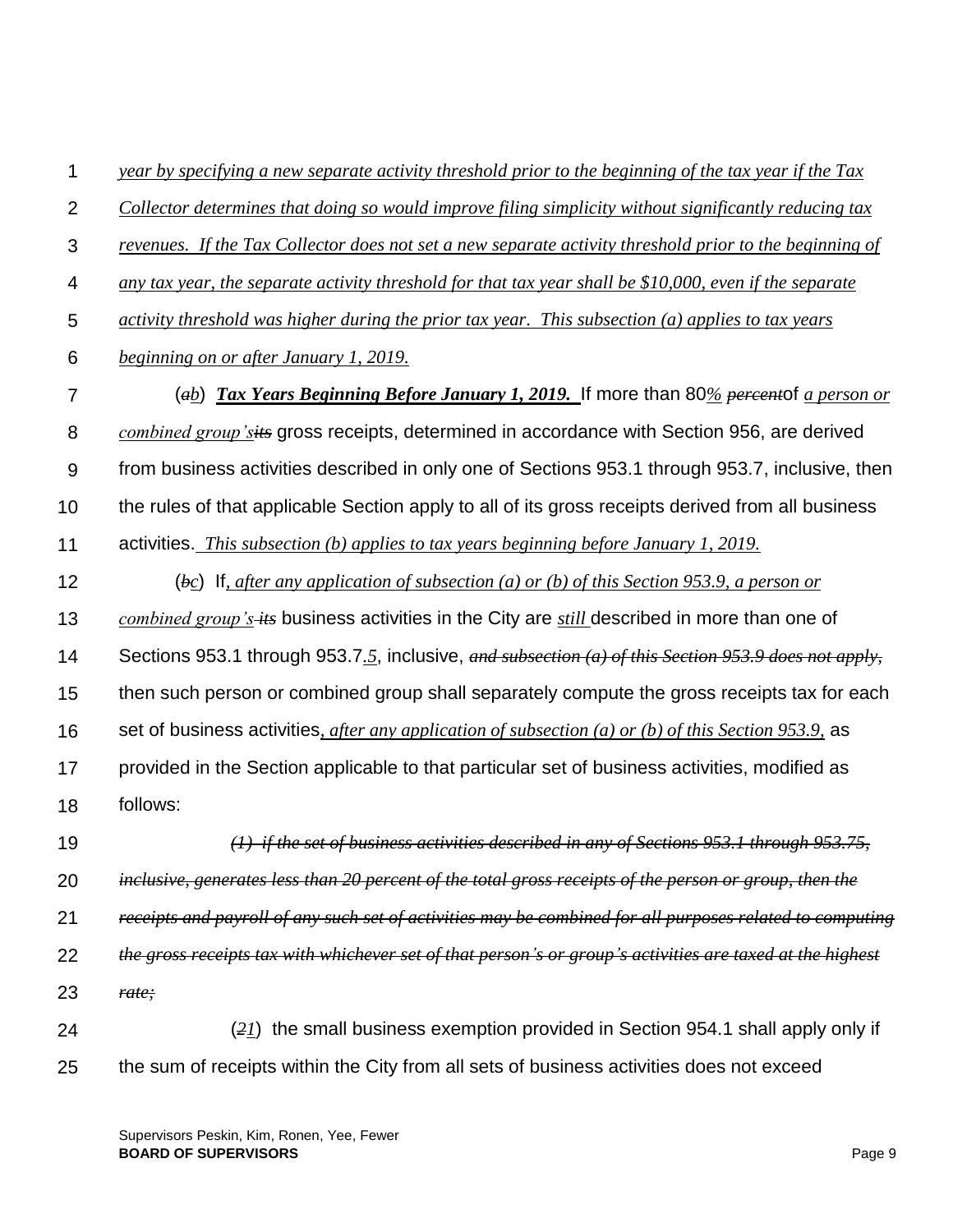1 2 3 4 5 6 7 8 9 10 11 12 13 14 15 16 17 18 19 20 21 22 23 24 25 *year by specifying a new separate activity threshold prior to the beginning of the tax year if the Tax Collector determines that doing so would improve filing simplicity without significantly reducing tax revenues. If the Tax Collector does not set a new separate activity threshold prior to the beginning of any tax year, the separate activity threshold for that tax year shall be \$10,000, even if the separate activity threshold was higher during the prior tax year. This subsection (a) applies to tax years beginning on or after January 1, 2019.* (*ab*) *Tax Years Beginning Before January 1, 2019.* If more than 80*% percent*of *a person or combined group'sits* gross receipts, determined in accordance with Section 956, are derived from business activities described in only one of Sections 953.1 through 953.7, inclusive, then the rules of that applicable Section apply to all of its gross receipts derived from all business activities. *This subsection (b) applies to tax years beginning before January 1, 2019.* (*bc*) If*, after any application of subsection (a) or (b) of this Section 953.9, a person or combined group's its* business activities in the City are *still* described in more than one of Sections 953.1 through 953.7*.5*, inclusive, *and subsection (a) of this Section 953.9 does not apply,*  then such person or combined group shall separately compute the gross receipts tax for each set of business activities*, after any application of subsection (a) or (b) of this Section 953.9,* as provided in the Section applicable to that particular set of business activities, modified as follows: *(1) if the set of business activities described in any of Sections 953.1 through 953.75, inclusive, generates less than 20 percent of the total gross receipts of the person or group, then the receipts and payroll of any such set of activities may be combined for all purposes related to computing the gross receipts tax with whichever set of that person's or group's activities are taxed at the highest rate;* (*21*) the small business exemption provided in Section 954.1 shall apply only if the sum of receipts within the City from all sets of business activities does not exceed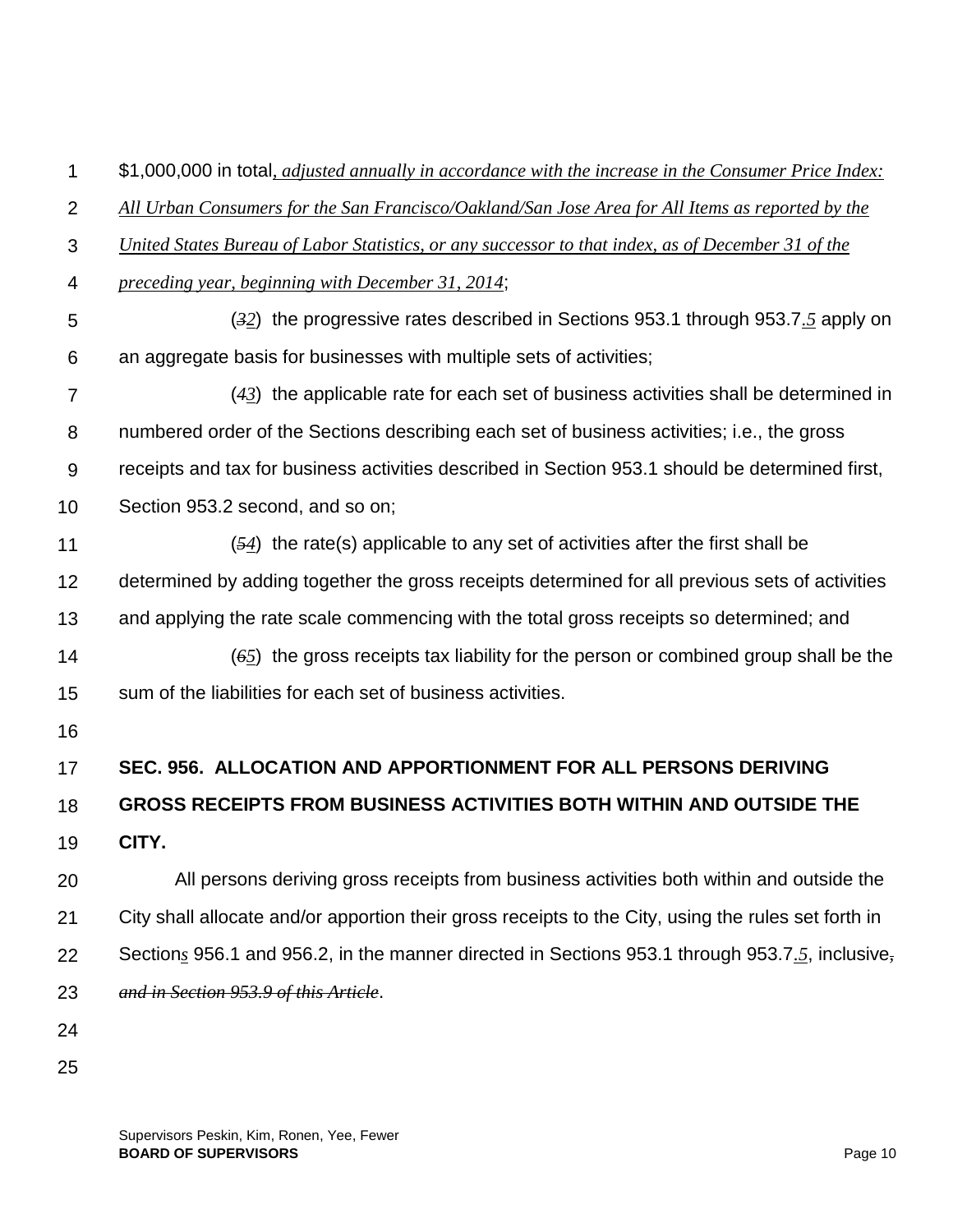1 \$1,000,000 in total*, adjusted annually in accordance with the increase in the Consumer Price Index:* 

 $\mathcal{P}$ *All Urban Consumers for the San Francisco/Oakland/San Jose Area for All Items as reported by the* 

- 3 *United States Bureau of Labor Statistics, or any successor to that index, as of December 31 of the*
- 4 *preceding year, beginning with December 31, 2014*;
- 5 6 (*32*) the progressive rates described in Sections 953.1 through 953.7*.5* apply on an aggregate basis for businesses with multiple sets of activities;
- 7 8 9 10 (*43*) the applicable rate for each set of business activities shall be determined in numbered order of the Sections describing each set of business activities; i.e., the gross receipts and tax for business activities described in Section 953.1 should be determined first, Section 953.2 second, and so on;
- 11 12 (*54*) the rate(s) applicable to any set of activities after the first shall be determined by adding together the gross receipts determined for all previous sets of activities
- 13 and applying the rate scale commencing with the total gross receipts so determined; and
- 14 15 (*65*) the gross receipts tax liability for the person or combined group shall be the sum of the liabilities for each set of business activities.
- 16

## 17 **SEC. 956. ALLOCATION AND APPORTIONMENT FOR ALL PERSONS DERIVING**

### 18 **GROSS RECEIPTS FROM BUSINESS ACTIVITIES BOTH WITHIN AND OUTSIDE THE**

19 **CITY.**

20 21 22 23 All persons deriving gross receipts from business activities both within and outside the City shall allocate and/or apportion their gross receipts to the City, using the rules set forth in Section*s* 956.1 and 956.2, in the manner directed in Sections 953.1 through 953.7*.5*, inclusive*, and in Section 953.9 of this Article*.

- 24
- 25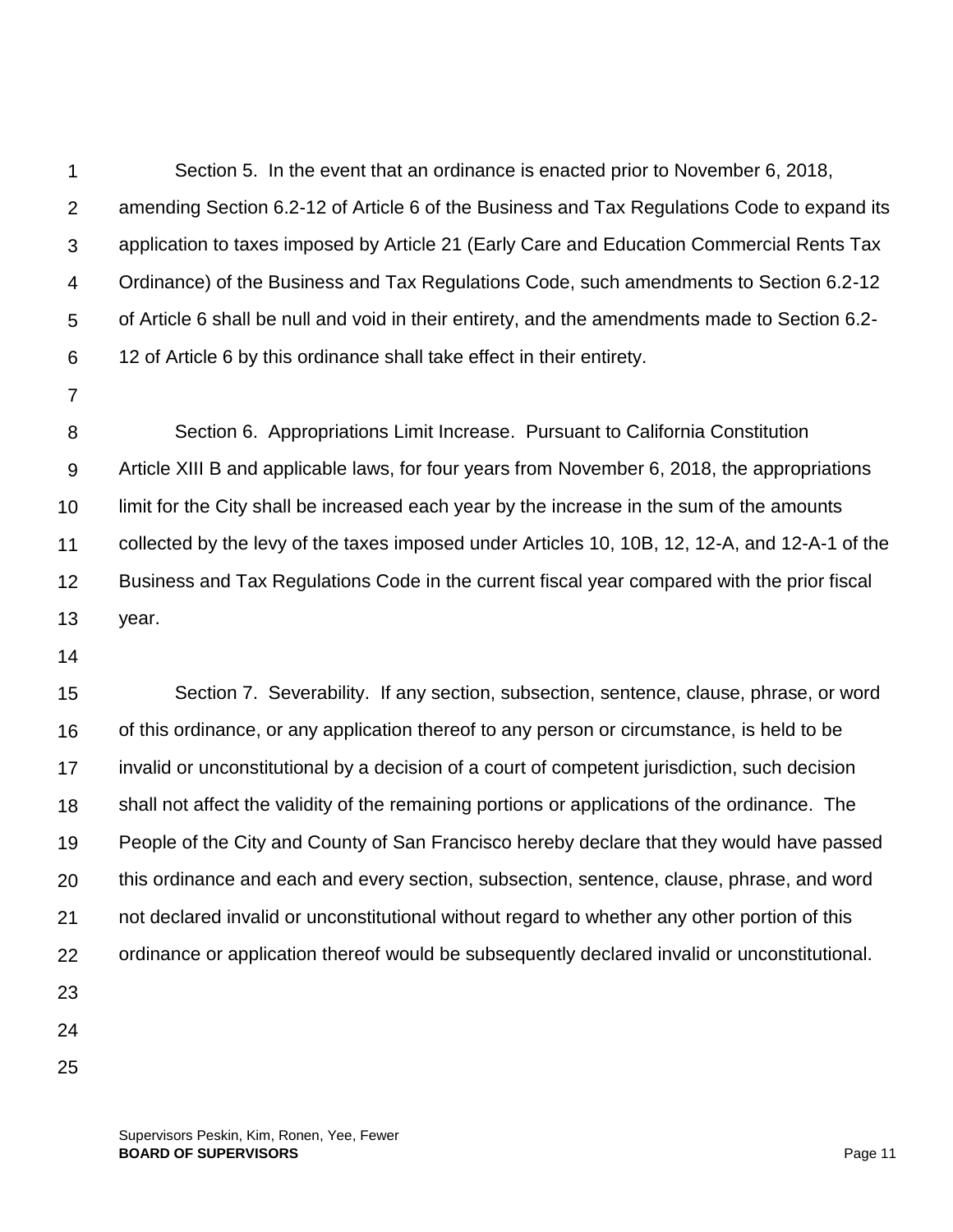1  $\mathcal{P}$ 3 4 5 6 Section 5. In the event that an ordinance is enacted prior to November 6, 2018, amending Section 6.2-12 of Article 6 of the Business and Tax Regulations Code to expand its application to taxes imposed by Article 21 (Early Care and Education Commercial Rents Tax Ordinance) of the Business and Tax Regulations Code, such amendments to Section 6.2-12 of Article 6 shall be null and void in their entirety, and the amendments made to Section 6.2- 12 of Article 6 by this ordinance shall take effect in their entirety.

7

8 9 10 11 12 13 Section 6. Appropriations Limit Increase. Pursuant to California Constitution Article XIII B and applicable laws, for four years from November 6, 2018, the appropriations limit for the City shall be increased each year by the increase in the sum of the amounts collected by the levy of the taxes imposed under Articles 10, 10B, 12, 12-A, and 12-A-1 of the Business and Tax Regulations Code in the current fiscal year compared with the prior fiscal year.

14

15 16 17 18 19 20 21 22 23 Section 7. Severability. If any section, subsection, sentence, clause, phrase, or word of this ordinance, or any application thereof to any person or circumstance, is held to be invalid or unconstitutional by a decision of a court of competent jurisdiction, such decision shall not affect the validity of the remaining portions or applications of the ordinance. The People of the City and County of San Francisco hereby declare that they would have passed this ordinance and each and every section, subsection, sentence, clause, phrase, and word not declared invalid or unconstitutional without regard to whether any other portion of this ordinance or application thereof would be subsequently declared invalid or unconstitutional.

- 
- 24
- 25